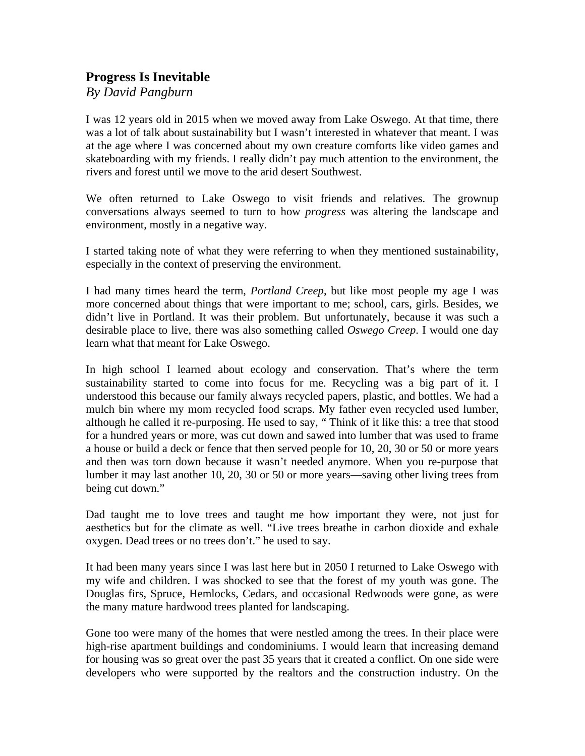## **Progress Is Inevitable**

*By David Pangburn* 

I was 12 years old in 2015 when we moved away from Lake Oswego. At that time, there was a lot of talk about sustainability but I wasn't interested in whatever that meant. I was at the age where I was concerned about my own creature comforts like video games and skateboarding with my friends. I really didn't pay much attention to the environment, the rivers and forest until we move to the arid desert Southwest.

We often returned to Lake Oswego to visit friends and relatives. The grownup conversations always seemed to turn to how *progress* was altering the landscape and environment, mostly in a negative way.

I started taking note of what they were referring to when they mentioned sustainability, especially in the context of preserving the environment.

I had many times heard the term, *Portland Creep*, but like most people my age I was more concerned about things that were important to me; school, cars, girls. Besides, we didn't live in Portland. It was their problem. But unfortunately, because it was such a desirable place to live, there was also something called *Oswego Creep*. I would one day learn what that meant for Lake Oswego.

In high school I learned about ecology and conservation. That's where the term sustainability started to come into focus for me. Recycling was a big part of it. I understood this because our family always recycled papers, plastic, and bottles. We had a mulch bin where my mom recycled food scraps. My father even recycled used lumber, although he called it re-purposing. He used to say, " Think of it like this: a tree that stood for a hundred years or more, was cut down and sawed into lumber that was used to frame a house or build a deck or fence that then served people for 10, 20, 30 or 50 or more years and then was torn down because it wasn't needed anymore. When you re-purpose that lumber it may last another 10, 20, 30 or 50 or more years—saving other living trees from being cut down."

Dad taught me to love trees and taught me how important they were, not just for aesthetics but for the climate as well. "Live trees breathe in carbon dioxide and exhale oxygen. Dead trees or no trees don't." he used to say.

It had been many years since I was last here but in 2050 I returned to Lake Oswego with my wife and children. I was shocked to see that the forest of my youth was gone. The Douglas firs, Spruce, Hemlocks, Cedars, and occasional Redwoods were gone, as were the many mature hardwood trees planted for landscaping.

Gone too were many of the homes that were nestled among the trees. In their place were high-rise apartment buildings and condominiums. I would learn that increasing demand for housing was so great over the past 35 years that it created a conflict. On one side were developers who were supported by the realtors and the construction industry. On the